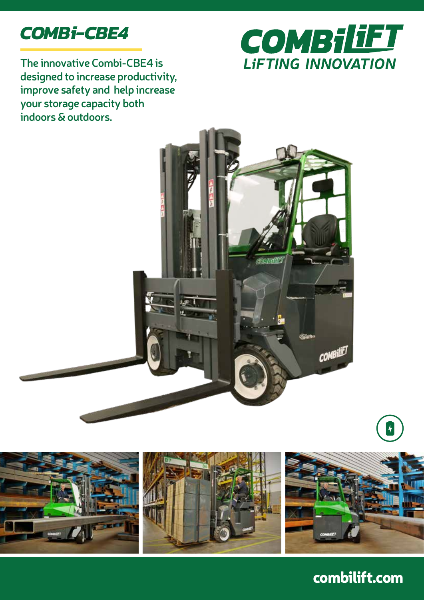

**The innovative Combi-CBE4 is designed to increase productivity, improve safety and help increase your storage capacity both indoors & outdoors.** 







combilift.com